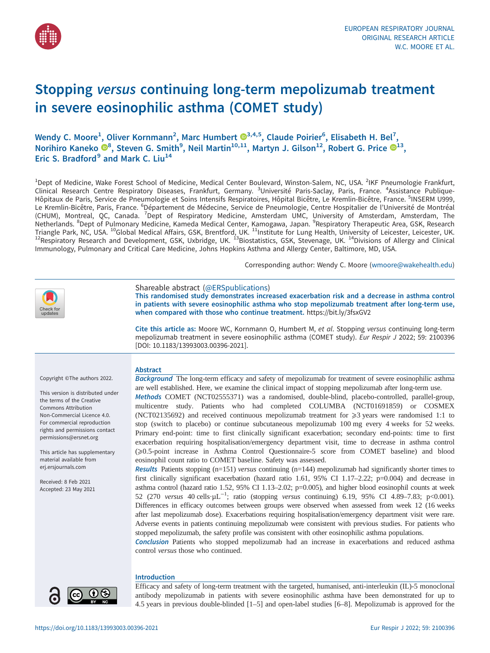

# Stopping versus continuing long-term mepolizumab treatment in severe eosinophilic asthma (COMET study)

Wendy C. Moore<sup>1</sup>, Oliver Kornmann<sup>2</sup>, Marc Humbert  $\mathbf{D}^{3,4,5},$  Claude Poirier $^6$ , Elisabeth H. Bel<sup>7</sup>, Norihiro Kaneko  $\mathbf{O}^8$ , Steven G. Smith $^9$ , Neil Martin $^{10,11}$ , Martyn J. Gilson $^{12}$ , Robert G. Price  $\mathbf{O}^{13}$ , Eric S. Bradford $9$  and Mark C. Liu<sup>14</sup>

<sup>1</sup>Dept of Medicine, Wake Forest School of Medicine, Medical Center Boulevard, Winston-Salem, NC, USA. <sup>2</sup>IKF Pneumologie Frankfurt, Clinical Research Centre Respiratory Diseases, Frankfurt, Germany. <sup>3</sup>Université Paris-Saclay, Paris, France. <sup>4</sup>Assistance Publique-Hôpitaux de Paris, Service de Pneumologie et Soins Intensifs Respiratoires, Hôpital Bicêtre, Le Kremlin-Bicêtre, France. <sup>5</sup>INSERM U999, Le Kremlin-Bicêtre, Paris, France. <sup>6</sup>Département de Médecine, Service de Pneumologie, Centre Hospitalier de l'Université de Montréal<br>(CHUM), Montreal, QC, Canada. <sup>7</sup>Dept of Respiratory Medicine, Amsterdam UMC, University Netherlands. <sup>8</sup>Dept of Pulmonary Medicine, Kameda Medical Center, Kamogawa, Japan. <sup>9</sup>Respiratory Therapeutic Area, GSK, Research Triangle Park, NC, USA. <sup>10</sup>Global Medical Affairs, GSK, Brentford, UK. <sup>11</sup>Institute for Lung Health, University of Leicester, Leicester, UK.<br><sup>12</sup>Respiratory Research and Development, GSK, Uxbridge, UK. <sup>13</sup>Biostatistics, Immunology, Pulmonary and Critical Care Medicine, Johns Hopkins Asthma and Allergy Center, Baltimore, MD, USA.

Corresponding author: Wendy C. Moore [\(wmoore@wakehealth.edu](mailto:wmoore@wakehealth.edu))

| heck for<br>updates                                                                                                                                                                                                                                                                                                                                                                         | Shareable abstract (@ERSpublications)<br>This randomised study demonstrates increased exacerbation risk and a decrease in asthma control<br>in patients with severe eosinophilic asthma who stop mepolizumab treatment after long-term use,<br>when compared with those who continue treatment. https://bit.ly/3fsxGV2                                                                                                                                                                                                                                                                                                                                                                                                                                                                                                                                                                                                                                                                                                                                                                                                                                                                                                                                                                                                                                                                                                                                                                                                                                                                                                                                                                                                                                                                                                                                                                                                                                                                                                                                                               |  |  |
|---------------------------------------------------------------------------------------------------------------------------------------------------------------------------------------------------------------------------------------------------------------------------------------------------------------------------------------------------------------------------------------------|--------------------------------------------------------------------------------------------------------------------------------------------------------------------------------------------------------------------------------------------------------------------------------------------------------------------------------------------------------------------------------------------------------------------------------------------------------------------------------------------------------------------------------------------------------------------------------------------------------------------------------------------------------------------------------------------------------------------------------------------------------------------------------------------------------------------------------------------------------------------------------------------------------------------------------------------------------------------------------------------------------------------------------------------------------------------------------------------------------------------------------------------------------------------------------------------------------------------------------------------------------------------------------------------------------------------------------------------------------------------------------------------------------------------------------------------------------------------------------------------------------------------------------------------------------------------------------------------------------------------------------------------------------------------------------------------------------------------------------------------------------------------------------------------------------------------------------------------------------------------------------------------------------------------------------------------------------------------------------------------------------------------------------------------------------------------------------------|--|--|
|                                                                                                                                                                                                                                                                                                                                                                                             | Cite this article as: Moore WC, Kornmann O, Humbert M, et al. Stopping versus continuing long-term<br>mepolizumab treatment in severe eosinophilic asthma (COMET study). Eur Respir J 2022; 59: 2100396<br>[DOI: 10.1183/13993003.00396-2021].                                                                                                                                                                                                                                                                                                                                                                                                                                                                                                                                                                                                                                                                                                                                                                                                                                                                                                                                                                                                                                                                                                                                                                                                                                                                                                                                                                                                                                                                                                                                                                                                                                                                                                                                                                                                                                       |  |  |
| Copyright ©The authors 2022.<br>This version is distributed under<br>the terms of the Creative<br><b>Commons Attribution</b><br>Non-Commercial Licence 4.0.<br>For commercial reproduction<br>rights and permissions contact<br>permissions@ersnet.org<br>This article has supplementary<br>material available from<br>erj.ersjournals.com<br>Received: 8 Feb 2021<br>Accepted: 23 May 2021 | <b>Abstract</b><br>Background The long-term efficacy and safety of mepolizumab for treatment of severe eosinophilic asthma<br>are well established. Here, we examine the clinical impact of stopping mepolizumab after long-term use.<br>Methods COMET (NCT02555371) was a randomised, double-blind, placebo-controlled, parallel-group,<br>multicentre study. Patients who had completed COLUMBA (NCT01691859) or COSMEX<br>(NCT02135692) and received continuous mepolizumab treatment for $\geq 3$ years were randomised 1:1 to<br>stop (switch to placebo) or continue subcutaneous mepolizumab 100 mg every 4 weeks for 52 weeks.<br>Primary end-point: time to first clinically significant exacerbation; secondary end-points: time to first<br>exacerbation requiring hospitalisation/emergency department visit, time to decrease in asthma control<br>(≥0.5-point increase in Asthma Control Questionnaire-5 score from COMET baseline) and blood<br>eosinophil count ratio to COMET baseline. Safety was assessed.<br>Results Patients stopping ( $n=151$ ) versus continuing ( $n=144$ ) mepolizumab had significantly shorter times to<br>first clinically significant exacerbation (hazard ratio 1.61, 95% CI 1.17-2.22; p=0.004) and decrease in<br>asthma control (hazard ratio 1.52, 95% CI 1.13–2.02; p=0.005), and higher blood eosinophil counts at week<br>52 (270 versus 40 cells $\mu L^{-1}$ ; ratio (stopping versus continuing) 6.19, 95% CI 4.89–7.83; p<0.001).<br>Differences in efficacy outcomes between groups were observed when assessed from week 12 (16 weeks<br>after last mepolizumab dose). Exacerbations requiring hospitalisation/emergency department visit were rare.<br>Adverse events in patients continuing mepolizumab were consistent with previous studies. For patients who<br>stopped mepolizumab, the safety profile was consistent with other eosinophilic asthma populations.<br><b>Conclusion</b> Patients who stopped mepolizumab had an increase in exacerbations and reduced asthma<br>control versus those who continued. |  |  |
| 0<br>(cc)                                                                                                                                                                                                                                                                                                                                                                                   | <b>Introduction</b><br>Efficacy and safety of long-term treatment with the targeted, humanised, anti-interleukin (IL)-5 monoclonal<br>antibody mepolizumab in patients with severe eosinophilic asthma have been demonstrated for up to                                                                                                                                                                                                                                                                                                                                                                                                                                                                                                                                                                                                                                                                                                                                                                                                                                                                                                                                                                                                                                                                                                                                                                                                                                                                                                                                                                                                                                                                                                                                                                                                                                                                                                                                                                                                                                              |  |  |

4.5 years in previous double-blinded [\[1](#page-9-0)–[5\]](#page-9-0) and open-label studies [[6](#page-9-0)–[8](#page-9-0)]. Mepolizumab is approved for the

 $\bullet$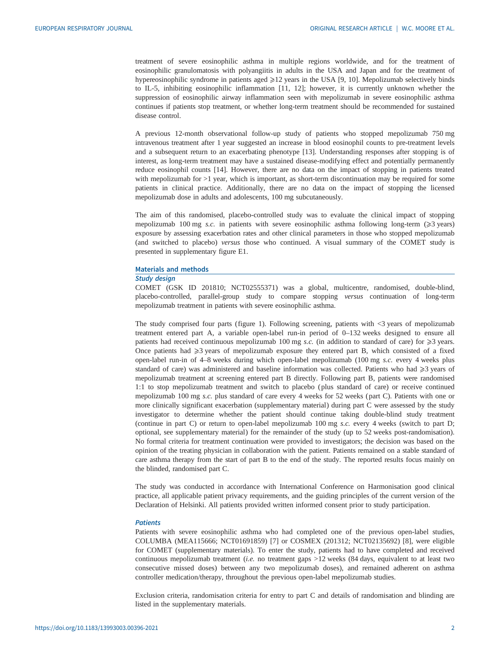treatment of severe eosinophilic asthma in multiple regions worldwide, and for the treatment of eosinophilic granulomatosis with polyangiitis in adults in the USA and Japan and for the treatment of hypereosinophilic syndrome in patients aged ≥12 years in the USA [[9](#page-9-0), [10\]](#page-9-0). Mepolizumab selectively binds to IL-5, inhibiting eosinophilic inflammation [[11, 12\]](#page-9-0); however, it is currently unknown whether the suppression of eosinophilic airway inflammation seen with mepolizumab in severe eosinophilic asthma continues if patients stop treatment, or whether long-term treatment should be recommended for sustained disease control.

A previous 12-month observational follow-up study of patients who stopped mepolizumab 750 mg intravenous treatment after 1 year suggested an increase in blood eosinophil counts to pre-treatment levels and a subsequent return to an exacerbating phenotype [[13\]](#page-9-0). Understanding responses after stopping is of interest, as long-term treatment may have a sustained disease-modifying effect and potentially permanently reduce eosinophil counts [[14\]](#page-10-0). However, there are no data on the impact of stopping in patients treated with mepolizumab for  $>1$  year, which is important, as short-term discontinuation may be required for some patients in clinical practice. Additionally, there are no data on the impact of stopping the licensed mepolizumab dose in adults and adolescents, 100 mg subcutaneously.

The aim of this randomised, placebo-controlled study was to evaluate the clinical impact of stopping mepolizumab 100 mg s.c. in patients with severe eosinophilic asthma following long-term ( $\geq$ 3 years) exposure by assessing exacerbation rates and other clinical parameters in those who stopped mepolizumab (and switched to placebo) versus those who continued. A visual summary of the COMET study is presented in [supplementary figure E1.](http://erj.ersjournals.com/lookup/doi/10.1183/13993003.00396-2021.figures-only#fig-data-supplementary-materials)

## Materials and methods

#### Study design

COMET (GSK ID 201810; NCT02555371) was a global, multicentre, randomised, double-blind, placebo-controlled, parallel-group study to compare stopping versus continuation of long-term mepolizumab treatment in patients with severe eosinophilic asthma.

The study comprised four parts ([figure 1\)](#page-2-0). Following screening, patients with <3 years of mepolizumab treatment entered part A, a variable open-label run-in period of 0–132 weeks designed to ensure all patients had received continuous mepolizumab 100 mg s.c. (in addition to standard of care) for  $\geq 3$  years. Once patients had  $\geq$ 3 years of mepolizumab exposure they entered part B, which consisted of a fixed open-label run-in of 4–8 weeks during which open-label mepolizumab (100 mg s.c. every 4 weeks plus standard of care) was administered and baseline information was collected. Patients who had  $\geq 3$  years of mepolizumab treatment at screening entered part B directly. Following part B, patients were randomised 1:1 to stop mepolizumab treatment and switch to placebo ( plus standard of care) or receive continued mepolizumab 100 mg s.c. plus standard of care every 4 weeks for 52 weeks ( part C). Patients with one or more clinically significant exacerbation [\(supplementary material](http://erj.ersjournals.com/lookup/doi/10.1183/13993003.00396-2021.figures-only#fig-data-supplementary-materials)) during part C were assessed by the study investigator to determine whether the patient should continue taking double-blind study treatment (continue in part C) or return to open-label mepolizumab 100 mg s.c. every 4 weeks (switch to part D; optional, see [supplementary material](http://erj.ersjournals.com/lookup/doi/10.1183/13993003.00396-2021.figures-only#fig-data-supplementary-materials)) for the remainder of the study (up to 52 weeks post-randomisation). No formal criteria for treatment continuation were provided to investigators; the decision was based on the opinion of the treating physician in collaboration with the patient. Patients remained on a stable standard of care asthma therapy from the start of part B to the end of the study. The reported results focus mainly on the blinded, randomised part C.

The study was conducted in accordance with International Conference on Harmonisation good clinical practice, all applicable patient privacy requirements, and the guiding principles of the current version of the Declaration of Helsinki. All patients provided written informed consent prior to study participation.

## **Patients**

Patients with severe eosinophilic asthma who had completed one of the previous open-label studies, COLUMBA (MEA115666; NCT01691859) [\[7\]](#page-9-0) or COSMEX (201312; NCT02135692) [[8](#page-9-0)], were eligible for COMET [\(supplementary materials](http://erj.ersjournals.com/lookup/doi/10.1183/13993003.00396-2021.figures-only#fig-data-supplementary-materials)). To enter the study, patients had to have completed and received continuous mepolizumab treatment (i.e. no treatment gaps  $>12$  weeks (84 days, equivalent to at least two consecutive missed doses) between any two mepolizumab doses), and remained adherent on asthma controller medication/therapy, throughout the previous open-label mepolizumab studies.

Exclusion criteria, randomisation criteria for entry to part C and details of randomisation and blinding are listed in the [supplementary materials.](http://erj.ersjournals.com/lookup/doi/10.1183/13993003.00396-2021.figures-only#fig-data-supplementary-materials)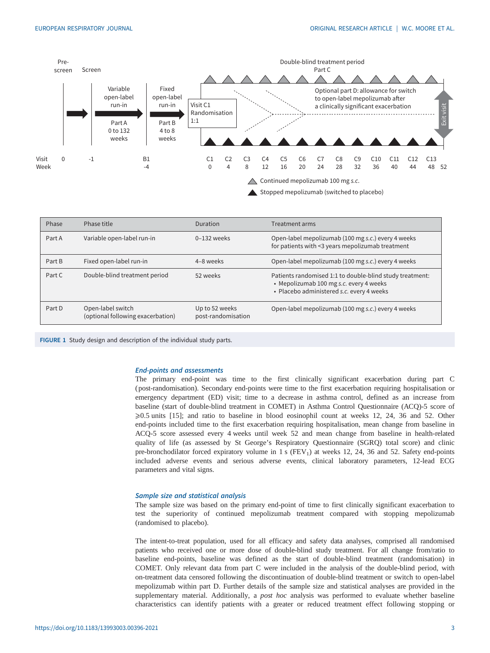<span id="page-2-0"></span>

Stopped mepolizumab (switched to placebo)

| Phase  | Phase title                                            | Duration                             | Treatment arms                                                                                                                                   |
|--------|--------------------------------------------------------|--------------------------------------|--------------------------------------------------------------------------------------------------------------------------------------------------|
| Part A | Variable open-label run-in                             | $0-132$ weeks                        | Open-label mepolizumab (100 mg s.c.) every 4 weeks<br>for patients with <3 years mepolizumab treatment                                           |
| Part B | Fixed open-label run-in                                | 4-8 weeks                            | Open-label mepolizumab (100 mg s.c.) every 4 weeks                                                                                               |
| Part C | Double-blind treatment period                          | 52 weeks                             | Patients randomised 1:1 to double-blind study treatment:<br>• Mepolizumab 100 mg s.c. every 4 weeks<br>· Placebo administered s.c. every 4 weeks |
| Part D | Open-label switch<br>(optional following exacerbation) | Up to 52 weeks<br>post-randomisation | Open-label mepolizumab (100 mg s.c.) every 4 weeks                                                                                               |

FIGURE 1 Study design and description of the individual study parts.

## End-points and assessments

The primary end-point was time to the first clinically significant exacerbation during part C ( post-randomisation). Secondary end-points were time to the first exacerbation requiring hospitalisation or emergency department (ED) visit; time to a decrease in asthma control, defined as an increase from baseline (start of double-blind treatment in COMET) in Asthma Control Questionnaire (ACQ)-5 score of  $\geq 0.5$  units [\[15](#page-10-0)]; and ratio to baseline in blood eosinophil count at weeks 12, 24, 36 and 52. Other end-points included time to the first exacerbation requiring hospitalisation, mean change from baseline in ACQ-5 score assessed every 4 weeks until week 52 and mean change from baseline in health-related quality of life (as assessed by St George's Respiratory Questionnaire (SGRQ) total score) and clinic pre-bronchodilator forced expiratory volume in 1 s  $(FEV<sub>1</sub>)$  at weeks 12, 24, 36 and 52. Safety end-points included adverse events and serious adverse events, clinical laboratory parameters, 12-lead ECG parameters and vital signs.

# Sample size and statistical analysis

The sample size was based on the primary end-point of time to first clinically significant exacerbation to test the superiority of continued mepolizumab treatment compared with stopping mepolizumab (randomised to placebo).

The intent-to-treat population, used for all efficacy and safety data analyses, comprised all randomised patients who received one or more dose of double-blind study treatment. For all change from/ratio to baseline end-points, baseline was defined as the start of double-blind treatment (randomisation) in COMET. Only relevant data from part C were included in the analysis of the double-blind period, with on-treatment data censored following the discontinuation of double-blind treatment or switch to open-label mepolizumab within part D. Further details of the sample size and statistical analyses are provided in the [supplementary material](http://erj.ersjournals.com/lookup/doi/10.1183/13993003.00396-2021.figures-only#fig-data-supplementary-materials). Additionally, a *post hoc* analysis was performed to evaluate whether baseline characteristics can identify patients with a greater or reduced treatment effect following stopping or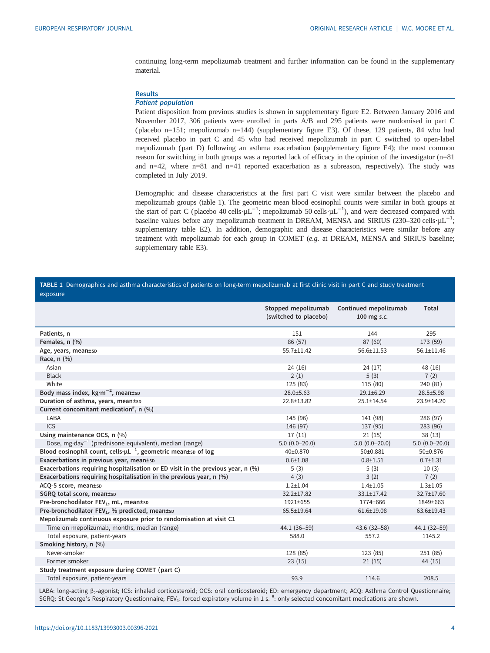<span id="page-3-0"></span>continuing long-term mepolizumab treatment and further information can be found in the [supplementary](http://erj.ersjournals.com/lookup/doi/10.1183/13993003.00396-2021.figures-only#fig-data-supplementary-materials) [material](http://erj.ersjournals.com/lookup/doi/10.1183/13993003.00396-2021.figures-only#fig-data-supplementary-materials).

# **Results**

### Patient population

Patient disposition from previous studies is shown in [supplementary figure E2](http://erj.ersjournals.com/lookup/doi/10.1183/13993003.00396-2021.figures-only#fig-data-supplementary-materials). Between January 2016 and November 2017, 306 patients were enrolled in parts A/B and 295 patients were randomised in part C ( placebo n=151; mepolizumab n=144) ([supplementary figure E3\)](http://erj.ersjournals.com/lookup/doi/10.1183/13993003.00396-2021.figures-only#fig-data-supplementary-materials). Of these, 129 patients, 84 who had received placebo in part C and 45 who had received mepolizumab in part C switched to open-label mepolizumab ( part D) following an asthma exacerbation [\(supplementary figure E4\)](http://erj.ersjournals.com/lookup/doi/10.1183/13993003.00396-2021.figures-only#fig-data-supplementary-materials); the most common reason for switching in both groups was a reported lack of efficacy in the opinion of the investigator (n=81 and n=42, where n=81 and n=41 reported exacerbation as a subreason, respectively). The study was completed in July 2019.

Demographic and disease characteristics at the first part C visit were similar between the placebo and mepolizumab groups (table 1). The geometric mean blood eosinophil counts were similar in both groups at the start of part C (placebo 40 cells· $\mu L^{-1}$ ; mepolizumab 50 cells· $\mu L^{-1}$ ), and were decreased compared with baseline values before any mepolizumab treatment in DREAM, MENSA and SIRIUS (230–320 cells· $\mu$ L<sup>-1</sup>; [supplementary table E2](http://erj.ersjournals.com/lookup/doi/10.1183/13993003.00396-2021.figures-only#fig-data-supplementary-materials)). In addition, demographic and disease characteristics were similar before any treatment with mepolizumab for each group in COMET (e.g. at DREAM, MENSA and SIRIUS baseline; [supplementary table E3\)](http://erj.ersjournals.com/lookup/doi/10.1183/13993003.00396-2021.figures-only#fig-data-supplementary-materials).

## TABLE 1 Demographics and asthma characteristics of patients on long-term mepolizumab at first clinic visit in part C and study treatment exposure

|                                                                                 | Stopped mepolizumab<br>(switched to placebo) | Continued mepolizumab<br>100 mg s.c. | Total           |
|---------------------------------------------------------------------------------|----------------------------------------------|--------------------------------------|-----------------|
| Patients, n                                                                     | 151                                          | 144                                  | 295             |
| Females, n (%)                                                                  | 86 (57)                                      | 87 (60)                              | 173 (59)        |
| Age, years, mean±sp                                                             | 55.7±11.42                                   | $56.6 \pm 11.53$                     | 56.1±11.46      |
| Race, n (%)                                                                     |                                              |                                      |                 |
| Asian                                                                           | 24(16)                                       | 24(17)                               | 48 (16)         |
| <b>Black</b>                                                                    | 2(1)                                         | 5(3)                                 | 7(2)            |
| White                                                                           | 125 (83)                                     | 115 (80)                             | 240 (81)        |
| Body mass index, $kg \cdot m^{-2}$ , mean±sp                                    | 28.0±5.63                                    | $29.1 \pm 6.29$                      | 28.5±5.98       |
| Duration of asthma, years, mean±sp                                              | 22.8±13.82                                   | $25.1 \pm 14.54$                     | 23.9±14.20      |
| Current concomitant medication <sup>#</sup> , $n$ (%)                           |                                              |                                      |                 |
| LABA                                                                            | 145 (96)                                     | 141 (98)                             | 286 (97)        |
| ICS                                                                             | 146 (97)                                     | 137 (95)                             | 283 (96)        |
| Using maintenance OCS, n (%)                                                    | 17(11)                                       | 21(15)                               | 38(13)          |
| Dose, mg·day <sup>-1</sup> (prednisone equivalent), median (range)              | $5.0(0.0-20.0)$                              | $5.0(0.0-20.0)$                      | $5.0(0.0-20.0)$ |
| Blood eosinophil count, cells $\cdot \mu L^{-1}$ , geometric mean±sp of log     | 40±0.870                                     | 50±0.881                             | 50±0.876        |
| Exacerbations in previous year, mean±sp                                         | $0.6 + 1.08$                                 | $0.8 + 1.51$                         | $0.7 + 1.31$    |
| Exacerbations requiring hospitalisation or ED visit in the previous year, n (%) | 5(3)                                         | 5(3)                                 | 10(3)           |
| Exacerbations requiring hospitalisation in the previous year, n (%)             | 4(3)                                         | 3(2)                                 | 7(2)            |
| ACQ-5 score, mean±sp                                                            | $1.2 + 1.04$                                 | $1.4 + 1.05$                         | $1.3 + 1.05$    |
| SGRQ total score, mean±sp                                                       | $32.2 \pm 17.82$                             | $33.1 \pm 17.42$                     | 32.7±17.60      |
| Pre-bronchodilator FEV <sub>1</sub> , mL, mean±sD                               | 1921±655                                     | 1774±666                             | 1849±663        |
| Pre-bronchodilator FEV <sub>1</sub> , % predicted, mean±sp                      | 65.5±19.64                                   | $61.6 \pm 19.08$                     | 63.6±19.43      |
| Mepolizumab continuous exposure prior to randomisation at visit C1              |                                              |                                      |                 |
| Time on mepolizumab, months, median (range)                                     | 44.1 (36-59)                                 | $43.6(32 - 58)$                      | 44.1 (32-59)    |
| Total exposure, patient-years                                                   | 588.0                                        | 557.2                                | 1145.2          |
| Smoking history, n (%)                                                          |                                              |                                      |                 |
| Never-smoker                                                                    | 128 (85)                                     | 123 (85)                             | 251(85)         |
| Former smoker                                                                   | 23(15)                                       | 21(15)                               | 44 (15)         |
| Study treatment exposure during COMET (part C)                                  |                                              |                                      |                 |
| Total exposure, patient-years                                                   | 93.9                                         | 114.6                                | 208.5           |

LABA: long-acting β<sub>2</sub>-agonist; ICS: inhaled corticosteroid; OCS: oral corticosteroid; ED: emergency department; ACQ: Asthma Control Questionnaire; SGRQ: St George's Respiratory Questionnaire; FEV<sub>1</sub>: forced expiratory volume in 1 s. #: only selected concomitant medications are shown.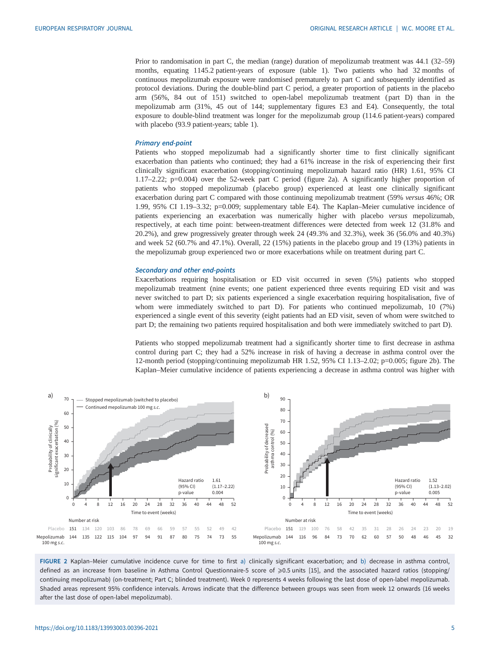Prior to randomisation in part C, the median (range) duration of mepolizumab treatment was 44.1 (32–59) months, equating 1145.2 patient-years of exposure ([table 1](#page-3-0)). Two patients who had 32 months of continuous mepolizumab exposure were randomised prematurely to part C and subsequently identified as protocol deviations. During the double-blind part C period, a greater proportion of patients in the placebo arm (56%, 84 out of 151) switched to open-label mepolizumab treatment ( part D) than in the mepolizumab arm (31%, 45 out of 144; [supplementary figures E3 and E4](http://erj.ersjournals.com/lookup/doi/10.1183/13993003.00396-2021.figures-only#fig-data-supplementary-materials)). Consequently, the total exposure to double-blind treatment was longer for the mepolizumab group (114.6 patient-years) compared with placebo (93.9 patient-years; [table 1](#page-3-0)).

#### Primary end-point

Patients who stopped mepolizumab had a significantly shorter time to first clinically significant exacerbation than patients who continued; they had a 61% increase in the risk of experiencing their first clinically significant exacerbation (stopping/continuing mepolizumab hazard ratio (HR) 1.61, 95% CI 1.17–2.22; p=0.004) over the 52-week part C period (figure 2a). A significantly higher proportion of patients who stopped mepolizumab ( placebo group) experienced at least one clinically significant exacerbation during part C compared with those continuing mepolizumab treatment (59% versus 46%; OR 1.99, 95% CI 1.19–3.32; p=0.009; [supplementary table E4\)](http://erj.ersjournals.com/lookup/doi/10.1183/13993003.00396-2021.figures-only#fig-data-supplementary-materials). The Kaplan–Meier cumulative incidence of patients experiencing an exacerbation was numerically higher with placebo versus mepolizumab, respectively, at each time point: between-treatment differences were detected from week 12 (31.8% and 20.2%), and grew progressively greater through week 24 (49.3% and 32.3%), week 36 (56.0% and 40.3%) and week 52 (60.7% and 47.1%). Overall, 22 (15%) patients in the placebo group and 19 (13%) patients in the mepolizumab group experienced two or more exacerbations while on treatment during part C.

#### Secondary and other end-points

Exacerbations requiring hospitalisation or ED visit occurred in seven (5%) patients who stopped mepolizumab treatment (nine events; one patient experienced three events requiring ED visit and was never switched to part D; six patients experienced a single exacerbation requiring hospitalisation, five of whom were immediately switched to part D). For patients who continued mepolizumab, 10 (7%) experienced a single event of this severity (eight patients had an ED visit, seven of whom were switched to part D; the remaining two patients required hospitalisation and both were immediately switched to part D).

Patients who stopped mepolizumab treatment had a significantly shorter time to first decrease in asthma control during part C; they had a 52% increase in risk of having a decrease in asthma control over the 12-month period (stopping/continuing mepolizumab HR 1.52, 95% CI 1.13–2.02; p=0.005; figure 2b). The Kaplan–Meier cumulative incidence of patients experiencing a decrease in asthma control was higher with



FIGURE 2 Kaplan–Meier cumulative incidence curve for time to first a) clinically significant exacerbation; and b) decrease in asthma control, defined as an increase from baseline in Asthma Control Questionnaire-5 score of ≥0.5 units [[15\]](#page-10-0), and the associated hazard ratios (stopping/ continuing mepolizumab) (on-treatment; Part C; blinded treatment). Week 0 represents 4 weeks following the last dose of open-label mepolizumab. Shaded areas represent 95% confidence intervals. Arrows indicate that the difference between groups was seen from week 12 onwards (16 weeks after the last dose of open-label mepolizumab).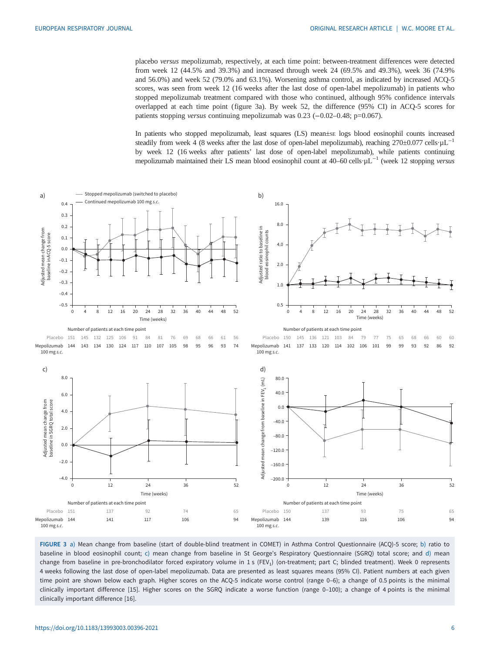<span id="page-5-0"></span>placebo versus mepolizumab, respectively, at each time point: between-treatment differences were detected from week 12 (44.5% and 39.3%) and increased through week 24 (69.5% and 49.3%), week 36 (74.9% and 56.0%) and week 52 (79.0% and 63.1%). Worsening asthma control, as indicated by increased ACQ-5 scores, was seen from week 12 (16 weeks after the last dose of open-label mepolizumab) in patients who stopped mepolizumab treatment compared with those who continued, although 95% confidence intervals overlapped at each time point (figure 3a). By week 52, the difference (95% CI) in ACQ-5 scores for patients stopping versus continuing mepolizumab was 0.23 (−0.02–0.48; p=0.067).

In patients who stopped mepolizumab, least squares (LS) mean±se logs blood eosinophil counts increased steadily from week 4 (8 weeks after the last dose of open-label mepolizumab), reaching 270±0.077 cells·µL<sup>-1</sup> by week 12 (16 weeks after patients' last dose of open-label mepolizumab), while patients continuing mepolizumab maintained their LS mean blood eosinophil count at 40–60 cells⋅µL<sup>-1</sup> (week 12 stopping versus



FIGURE 3 a) Mean change from baseline (start of double-blind treatment in COMET) in Asthma Control Questionnaire (ACQ)-5 score; b) ratio to baseline in blood eosinophil count; c) mean change from baseline in St George's Respiratory Questionnaire (SGRQ) total score; and d) mean change from baseline in pre-bronchodilator forced expiratory volume in 1 s (FEV<sub>1</sub>) (on-treatment; part C; blinded treatment). Week 0 represents 4 weeks following the last dose of open-label mepolizumab. Data are presented as least squares means (95% CI). Patient numbers at each given time point are shown below each graph. Higher scores on the ACQ-5 indicate worse control (range 0–6); a change of 0.5 points is the minimal clinically important difference [[15\]](#page-10-0). Higher scores on the SGRQ indicate a worse function (range 0–100); a change of 4 points is the minimal clinically important difference [[16\]](#page-10-0).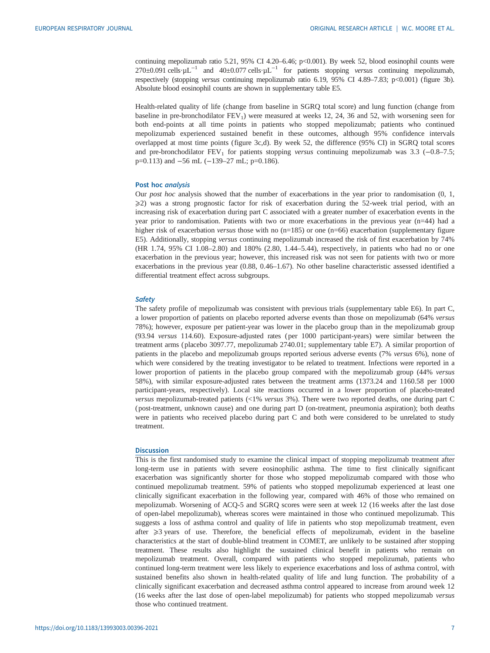continuing mepolizumab ratio 5.21, 95% CI 4.20–6.46; p<0.001). By week 52, blood eosinophil counts were  $270±0.091$  cells· $\mu$ L<sup>-1</sup> and  $40±0.077$  cells· $\mu$ L<sup>-1</sup> for patients stopping versus continuing mepolizumab, respectively (stopping versus continuing mepolizumab ratio 6.19, 95% CI 4.89–7.83; p<0.001) [\(figure 3b\)](#page-5-0). Absolute blood eosinophil counts are shown in [supplementary table E5](http://erj.ersjournals.com/lookup/doi/10.1183/13993003.00396-2021.figures-only#fig-data-supplementary-materials).

Health-related quality of life (change from baseline in SGRQ total score) and lung function (change from baseline in pre-bronchodilator  $FEV<sub>1</sub>$ ) were measured at weeks 12, 24, 36 and 52, with worsening seen for both end-points at all time points in patients who stopped mepolizumab; patients who continued mepolizumab experienced sustained benefit in these outcomes, although 95% confidence intervals overlapped at most time points [\(figure 3c,](#page-5-0)d). By week 52, the difference (95% CI) in SGRQ total scores and pre-bronchodilator  $FEV_1$  for patients stopping versus continuing mepolizumab was 3.3 (-0.8–7.5; p=0.113) and -56 mL (-139-27 mL; p=0.186).

# Post hoc analysis

Our post hoc analysis showed that the number of exacerbations in the year prior to randomisation (0, 1,  $\geq$ 2) was a strong prognostic factor for risk of exacerbation during the 52-week trial period, with an increasing risk of exacerbation during part C associated with a greater number of exacerbation events in the year prior to randomisation. Patients with two or more exacerbations in the previous year (n=44) had a higher risk of exacerbation versus those with no (n=185) or one (n=66) exacerbation ([supplementary figure](http://erj.ersjournals.com/lookup/doi/10.1183/13993003.00396-2021.figures-only#fig-data-supplementary-materials) [E5](http://erj.ersjournals.com/lookup/doi/10.1183/13993003.00396-2021.figures-only#fig-data-supplementary-materials)). Additionally, stopping versus continuing mepolizumab increased the risk of first exacerbation by 74% (HR 1.74, 95% CI 1.08–2.80) and 180% (2.80, 1.44–5.44), respectively, in patients who had no or one exacerbation in the previous year; however, this increased risk was not seen for patients with two or more exacerbations in the previous year (0.88, 0.46–1.67). No other baseline characteristic assessed identified a differential treatment effect across subgroups.

#### **Safety**

The safety profile of mepolizumab was consistent with previous trials ([supplementary table E6](http://erj.ersjournals.com/lookup/doi/10.1183/13993003.00396-2021.figures-only#fig-data-supplementary-materials)). In part C, a lower proportion of patients on placebo reported adverse events than those on mepolizumab (64% versus 78%); however, exposure per patient-year was lower in the placebo group than in the mepolizumab group (93.94 versus 114.60). Exposure-adjusted rates ( per 1000 participant-years) were similar between the treatment arms ( placebo 3097.77, mepolizumab 2740.01; [supplementary table E7](http://erj.ersjournals.com/lookup/doi/10.1183/13993003.00396-2021.figures-only#fig-data-supplementary-materials)). A similar proportion of patients in the placebo and mepolizumab groups reported serious adverse events (7% versus 6%), none of which were considered by the treating investigator to be related to treatment. Infections were reported in a lower proportion of patients in the placebo group compared with the mepolizumab group (44% versus 58%), with similar exposure-adjusted rates between the treatment arms (1373.24 and 1160.58 per 1000 participant-years, respectively). Local site reactions occurred in a lower proportion of placebo-treated versus mepolizumab-treated patients (<1% versus 3%). There were two reported deaths, one during part C ( post-treatment, unknown cause) and one during part D (on-treatment, pneumonia aspiration); both deaths were in patients who received placebo during part C and both were considered to be unrelated to study treatment.

#### **Discussion**

This is the first randomised study to examine the clinical impact of stopping mepolizumab treatment after long-term use in patients with severe eosinophilic asthma. The time to first clinically significant exacerbation was significantly shorter for those who stopped mepolizumab compared with those who continued mepolizumab treatment. 59% of patients who stopped mepolizumab experienced at least one clinically significant exacerbation in the following year, compared with 46% of those who remained on mepolizumab. Worsening of ACQ-5 and SGRQ scores were seen at week 12 (16 weeks after the last dose of open-label mepolizumab), whereas scores were maintained in those who continued mepolizumab. This suggests a loss of asthma control and quality of life in patients who stop mepolizumab treatment, even after  $\geqslant$ 3 years of use. Therefore, the beneficial effects of mepolizumab, evident in the baseline characteristics at the start of double-blind treatment in COMET, are unlikely to be sustained after stopping treatment. These results also highlight the sustained clinical benefit in patients who remain on mepolizumab treatment. Overall, compared with patients who stopped mepolizumab, patients who continued long-term treatment were less likely to experience exacerbations and loss of asthma control, with sustained benefits also shown in health-related quality of life and lung function. The probability of a clinically significant exacerbation and decreased asthma control appeared to increase from around week 12 (16 weeks after the last dose of open-label mepolizumab) for patients who stopped mepolizumab versus those who continued treatment.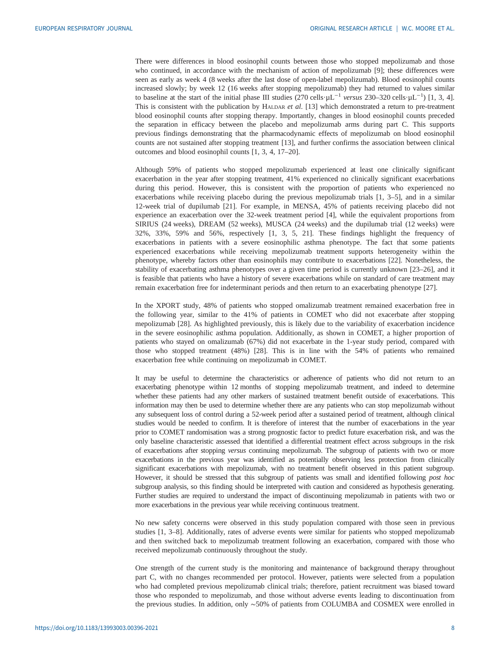There were differences in blood eosinophil counts between those who stopped mepolizumab and those who continued, in accordance with the mechanism of action of mepolizumab [[9\]](#page-9-0); these differences were seen as early as week 4 (8 weeks after the last dose of open-label mepolizumab). Blood eosinophil counts increased slowly; by week 12 (16 weeks after stopping mepolizumab) they had returned to values similar to baseline at the start of the initial phase III studies (270 cells·µL<sup>-[1](#page-9-0)</sup> versus 230–320 cells·µL<sup>-1</sup>) [1, [3, 4\]](#page-9-0).<br>This is consistent with the publication by HALDAR et al. [13] which demonstrated a return to pre-treatmen This is consistent with the publication by HALDAR et al.  $[13]$  $[13]$  which demonstrated a return to pre-treatment blood eosinophil counts after stopping therapy. Importantly, changes in blood eosinophil counts preceded the separation in efficacy between the placebo and mepolizumab arms during part C. This supports previous findings demonstrating that the pharmacodynamic effects of mepolizumab on blood eosinophil counts are not sustained after stopping treatment [\[13](#page-9-0)], and further confirms the association between clinical outcomes and blood eosinophil counts [[1](#page-9-0), [3, 4](#page-9-0), [17](#page-10-0)–[20\]](#page-10-0).

Although 59% of patients who stopped mepolizumab experienced at least one clinically significant exacerbation in the year after stopping treatment, 41% experienced no clinically significant exacerbations during this period. However, this is consistent with the proportion of patients who experienced no exacerbations while receiving placebo during the previous mepolizumab trials [\[1, 3](#page-9-0)–[5](#page-9-0)], and in a similar 12-week trial of dupilumab [\[21](#page-10-0)]. For example, in MENSA, 45% of patients receiving placebo did not experience an exacerbation over the 32-week treatment period [[4](#page-9-0)], while the equivalent proportions from SIRIUS (24 weeks), DREAM (52 weeks), MUSCA (24 weeks) and the dupilumab trial (12 weeks) were 32%, 33%, 59% and 56%, respectively [[1](#page-9-0), [3](#page-9-0), [5,](#page-9-0) [21\]](#page-10-0). These findings highlight the frequency of exacerbations in patients with a severe eosinophilic asthma phenotype. The fact that some patients experienced exacerbations while receiving mepolizumab treatment supports heterogeneity within the phenotype, whereby factors other than eosinophils may contribute to exacerbations [\[22](#page-10-0)]. Nonetheless, the stability of exacerbating asthma phenotypes over a given time period is currently unknown [\[23](#page-10-0)–[26\]](#page-10-0), and it is feasible that patients who have a history of severe exacerbations while on standard of care treatment may remain exacerbation free for indeterminant periods and then return to an exacerbating phenotype [[27\]](#page-10-0).

In the XPORT study, 48% of patients who stopped omalizumab treatment remained exacerbation free in the following year, similar to the 41% of patients in COMET who did not exacerbate after stopping mepolizumab [[28\]](#page-10-0). As highlighted previously, this is likely due to the variability of exacerbation incidence in the severe eosinophilic asthma population. Additionally, as shown in COMET, a higher proportion of patients who stayed on omalizumab (67%) did not exacerbate in the 1-year study period, compared with those who stopped treatment (48%) [[28\]](#page-10-0). This is in line with the 54% of patients who remained exacerbation free while continuing on mepolizumab in COMET.

It may be useful to determine the characteristics or adherence of patients who did not return to an exacerbating phenotype within 12 months of stopping mepolizumab treatment, and indeed to determine whether these patients had any other markers of sustained treatment benefit outside of exacerbations. This information may then be used to determine whether there are any patients who can stop mepolizumab without any subsequent loss of control during a 52-week period after a sustained period of treatment, although clinical studies would be needed to confirm. It is therefore of interest that the number of exacerbations in the year prior to COMET randomisation was a strong prognostic factor to predict future exacerbation risk, and was the only baseline characteristic assessed that identified a differential treatment effect across subgroups in the risk of exacerbations after stopping versus continuing mepolizumab. The subgroup of patients with two or more exacerbations in the previous year was identified as potentially observing less protection from clinically significant exacerbations with mepolizumab, with no treatment benefit observed in this patient subgroup. However, it should be stressed that this subgroup of patients was small and identified following post hoc subgroup analysis, so this finding should be interpreted with caution and considered as hypothesis generating. Further studies are required to understand the impact of discontinuing mepolizumab in patients with two or more exacerbations in the previous year while receiving continuous treatment.

No new safety concerns were observed in this study population compared with those seen in previous studies [\[1, 3](#page-9-0)–[8](#page-9-0)]. Additionally, rates of adverse events were similar for patients who stopped mepolizumab and then switched back to mepolizumab treatment following an exacerbation, compared with those who received mepolizumab continuously throughout the study.

One strength of the current study is the monitoring and maintenance of background therapy throughout part C, with no changes recommended per protocol. However, patients were selected from a population who had completed previous mepolizumab clinical trials; therefore, patient recruitment was biased toward those who responded to mepolizumab, and those without adverse events leading to discontinuation from the previous studies. In addition, only ∼50% of patients from COLUMBA and COSMEX were enrolled in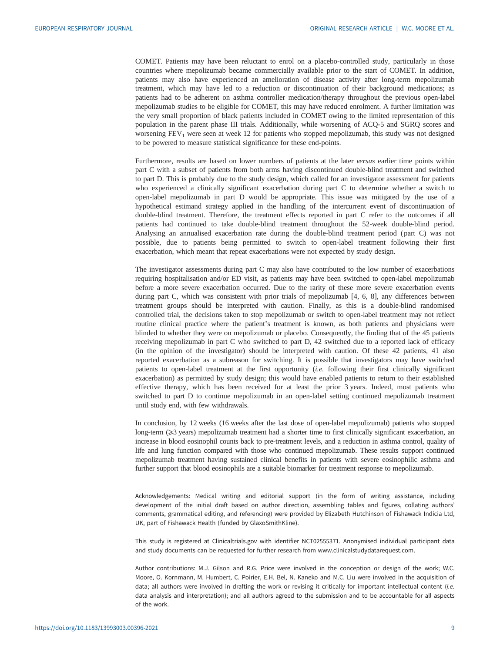COMET. Patients may have been reluctant to enrol on a placebo-controlled study, particularly in those countries where mepolizumab became commercially available prior to the start of COMET. In addition, patients may also have experienced an amelioration of disease activity after long-term mepolizumab treatment, which may have led to a reduction or discontinuation of their background medications; as patients had to be adherent on asthma controller medication/therapy throughout the previous open-label mepolizumab studies to be eligible for COMET, this may have reduced enrolment. A further limitation was the very small proportion of black patients included in COMET owing to the limited representation of this population in the parent phase III trials. Additionally, while worsening of ACQ-5 and SGRQ scores and worsening FEV<sub>1</sub> were seen at week 12 for patients who stopped mepolizumab, this study was not designed to be powered to measure statistical significance for these end-points.

Furthermore, results are based on lower numbers of patients at the later versus earlier time points within part C with a subset of patients from both arms having discontinued double-blind treatment and switched to part D. This is probably due to the study design, which called for an investigator assessment for patients who experienced a clinically significant exacerbation during part C to determine whether a switch to open-label mepolizumab in part D would be appropriate. This issue was mitigated by the use of a hypothetical estimand strategy applied in the handling of the intercurrent event of discontinuation of double-blind treatment. Therefore, the treatment effects reported in part C refer to the outcomes if all patients had continued to take double-blind treatment throughout the 52-week double-blind period. Analysing an annualised exacerbation rate during the double-blind treatment period ( part C) was not possible, due to patients being permitted to switch to open-label treatment following their first exacerbation, which meant that repeat exacerbations were not expected by study design.

The investigator assessments during part C may also have contributed to the low number of exacerbations requiring hospitalisation and/or ED visit, as patients may have been switched to open-label mepolizumab before a more severe exacerbation occurred. Due to the rarity of these more severe exacerbation events during part C, which was consistent with prior trials of mepolizumab [[4](#page-9-0), [6, 8](#page-9-0)], any differences between treatment groups should be interpreted with caution. Finally, as this is a double-blind randomised controlled trial, the decisions taken to stop mepolizumab or switch to open-label treatment may not reflect routine clinical practice where the patient's treatment is known, as both patients and physicians were blinded to whether they were on mepolizumab or placebo. Consequently, the finding that of the 45 patients receiving mepolizumab in part C who switched to part D, 42 switched due to a reported lack of efficacy (in the opinion of the investigator) should be interpreted with caution. Of these 42 patients, 41 also reported exacerbation as a subreason for switching. It is possible that investigators may have switched patients to open-label treatment at the first opportunity (i.e. following their first clinically significant exacerbation) as permitted by study design; this would have enabled patients to return to their established effective therapy, which has been received for at least the prior 3 years. Indeed, most patients who switched to part D to continue mepolizumab in an open-label setting continued mepolizumab treatment until study end, with few withdrawals.

In conclusion, by 12 weeks (16 weeks after the last dose of open-label mepolizumab) patients who stopped long-term (⩾3 years) mepolizumab treatment had a shorter time to first clinically significant exacerbation, an increase in blood eosinophil counts back to pre-treatment levels, and a reduction in asthma control, quality of life and lung function compared with those who continued mepolizumab. These results support continued mepolizumab treatment having sustained clinical benefits in patients with severe eosinophilic asthma and further support that blood eosinophils are a suitable biomarker for treatment response to mepolizumab.

Acknowledgements: Medical writing and editorial support (in the form of writing assistance, including development of the initial draft based on author direction, assembling tables and figures, collating authors' comments, grammatical editing, and referencing) were provided by Elizabeth Hutchinson of Fishawack Indicia Ltd, UK, part of Fishawack Health (funded by GlaxoSmithKline).

This study is registered at Clinicaltrials.gov with identifier NCT02555371. Anonymised individual participant data and study documents can be requested for further research from www.clinicalstudydatarequest.com.

Author contributions: M.J. Gilson and R.G. Price were involved in the conception or design of the work; W.C. Moore, O. Kornmann, M. Humbert, C. Poirier, E.H. Bel, N. Kaneko and M.C. Liu were involved in the acquisition of data; all authors were involved in drafting the work or revising it critically for important intellectual content (i.e. data analysis and interpretation); and all authors agreed to the submission and to be accountable for all aspects of the work.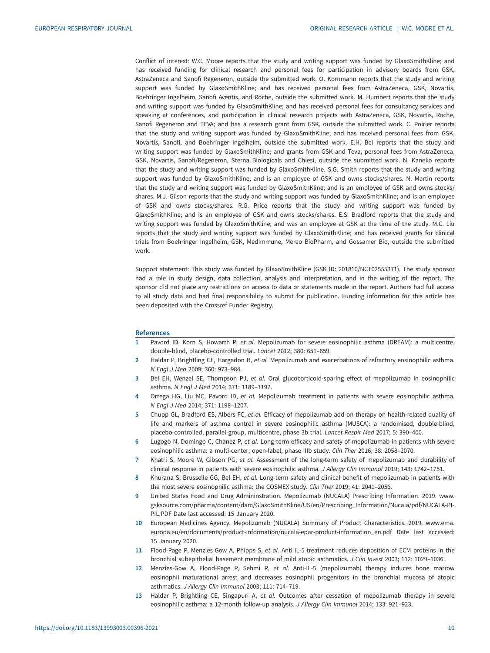<span id="page-9-0"></span>Conflict of interest: W.C. Moore reports that the study and writing support was funded by GlaxoSmithKline; and has received funding for clinical research and personal fees for participation in advisory boards from GSK, AstraZeneca and Sanofi Regeneron, outside the submitted work. O. Kornmann reports that the study and writing support was funded by GlaxoSmithKline; and has received personal fees from AstraZeneca, GSK, Novartis, Boehringer Ingelheim, Sanofi Aventis, and Roche, outside the submitted work. M. Humbert reports that the study and writing support was funded by GlaxoSmithKline; and has received personal fees for consultancy services and speaking at conferences, and participation in clinical research projects with AstraZeneca, GSK, Novartis, Roche, Sanofi Regeneron and TEVA; and has a research grant from GSK, outside the submitted work. C. Poirier reports that the study and writing support was funded by GlaxoSmithKline; and has received personal fees from GSK, Novartis, Sanofi, and Boehringer Ingelheim, outside the submitted work. E.H. Bel reports that the study and writing support was funded by GlaxoSmithKline; and grants from GSK and Teva, personal fees from AstraZeneca, GSK, Novartis, Sanofi/Regeneron, Sterna Biologicals and Chiesi, outside the submitted work. N. Kaneko reports that the study and writing support was funded by GlaxoSmithKline. S.G. Smith reports that the study and writing support was funded by GlaxoSmithKline; and is an employee of GSK and owns stocks/shares. N. Martin reports that the study and writing support was funded by GlaxoSmithKline; and is an employee of GSK and owns stocks/ shares. M.J. Gilson reports that the study and writing support was funded by GlaxoSmithKline; and is an employee of GSK and owns stocks/shares. R.G. Price reports that the study and writing support was funded by GlaxoSmithKline; and is an employee of GSK and owns stocks/shares. E.S. Bradford reports that the study and writing support was funded by GlaxoSmithKline; and was an employee at GSK at the time of the study. M.C. Liu reports that the study and writing support was funded by GlaxoSmithKline; and has received grants for clinical trials from Boehringer Ingelheim, GSK, MedImmune, Mereo BioPharm, and Gossamer Bio, outside the submitted work.

Support statement: This study was funded by GlaxoSmithKline (GSK ID: 201810/NCT02555371). The study sponsor had a role in study design, data collection, analysis and interpretation, and in the writing of the report. The sponsor did not place any restrictions on access to data or statements made in the report. Authors had full access to all study data and had final responsibility to submit for publication. Funding information for this article has been deposited with the [Crossref Funder Registry.](https://www.crossref.org/services/funder-registry/)

#### **References**

- 1 Pavord ID, Korn S, Howarth P, et al. Mepolizumab for severe eosinophilic asthma (DREAM): a multicentre, double-blind, placebo-controlled trial. Lancet 2012; 380: 651–659.
- 2 Haldar P, Brightling CE, Hargadon B, et al. Mepolizumab and exacerbations of refractory eosinophilic asthma. N Engl J Med 2009; 360: 973–984.
- 3 Bel EH, Wenzel SE, Thompson PJ, et al. Oral glucocorticoid-sparing effect of mepolizumab in eosinophilic asthma. N Engl J Med 2014; 371: 1189–1197.
- 4 Ortega HG, Liu MC, Pavord ID, et al. Mepolizumab treatment in patients with severe eosinophilic asthma. N Engl J Med 2014; 371: 1198–1207.
- 5 Chupp GL, Bradford ES, Albers FC, et al. Efficacy of mepolizumab add-on therapy on health-related quality of life and markers of asthma control in severe eosinophilic asthma (MUSCA): a randomised, double-blind, placebo-controlled, parallel-group, multicentre, phase 3b trial. Lancet Respir Med 2017; 5: 390–400.
- 6 Lugogo N, Domingo C, Chanez P, et al. Long-term efficacy and safety of mepolizumab in patients with severe eosinophilic asthma: a multi-center, open-label, phase IIIb study. Clin Ther 2016; 38: 2058–2070.
- 7 Khatri S, Moore W, Gibson PG, et al. Assessment of the long-term safety of mepolizumab and durability of clinical response in patients with severe eosinophilic asthma. J Allergy Clin Immunol 2019; 143: 1742–1751.
- 8 Khurana S, Brusselle GG, Bel EH, et al. Long-term safety and clinical benefit of mepolizumab in patients with the most severe eosinophilic asthma: the COSMEX study. Clin Ther 2019; 41: 2041–2056.
- 9 United States Food and Drug Admininstration. Mepolizumab (NUCALA) Prescribing Information. 2019. [www.](http://www.gsksource.com/pharma/content/dam/GlaxoSmithKline/US/en/Prescribing_Information/Nucala/pdf/NUCALA-PI-PIL.PDF) [gsksource.com/pharma/content/dam/GlaxoSmithKline/US/en/Prescribing\\_Information/Nucala/pdf/NUCALA-PI-](http://www.gsksource.com/pharma/content/dam/GlaxoSmithKline/US/en/Prescribing_Information/Nucala/pdf/NUCALA-PI-PIL.PDF)[PIL.PDF](http://www.gsksource.com/pharma/content/dam/GlaxoSmithKline/US/en/Prescribing_Information/Nucala/pdf/NUCALA-PI-PIL.PDF) Date last accessed: 15 January 2020.
- 10 European Medicines Agency. Mepolizumab (NUCALA) Summary of Product Characteristics. 2019. [www.ema.](http://www.ema.europa.eu/en/documents/product-information/nucala-epar-product-information_en.pdf) [europa.eu/en/documents/product-information/nucala-epar-product-information\\_en.pdf](http://www.ema.europa.eu/en/documents/product-information/nucala-epar-product-information_en.pdf) Date last accessed: 15 January 2020.
- 11 Flood-Page P, Menzies-Gow A, Phipps S, et al. Anti-IL-5 treatment reduces deposition of ECM proteins in the bronchial subepithelial basement membrane of mild atopic asthmatics. J Clin Invest 2003; 112: 1029–1036.
- 12 Menzies-Gow A, Flood-Page P, Sehmi R, et al. Anti-IL-5 (mepolizumab) therapy induces bone marrow eosinophil maturational arrest and decreases eosinophil progenitors in the bronchial mucosa of atopic asthmatics. J Allergy Clin Immunol 2003; 111: 714–719.
- 13 Haldar P, Brightling CE, Singapuri A, et al. Outcomes after cessation of mepolizumab therapy in severe eosinophilic asthma: a 12-month follow-up analysis. J Allergy Clin Immunol 2014; 133: 921–923.